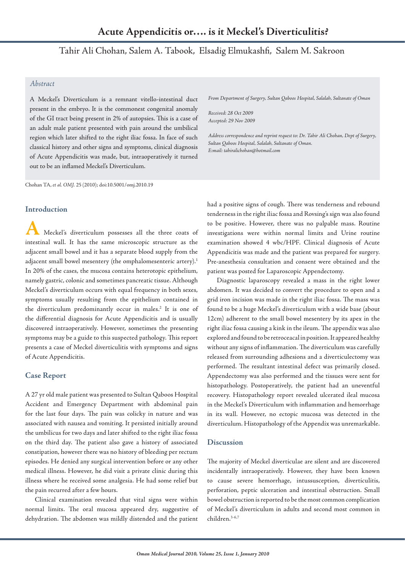# Tahir Ali Chohan, Salem A. Tabook, Elsadig Elmukashfi, Salem M. Sakroon

## *Abstract*

A Meckel's Diverticulum is a remnant vitello-intestinal duct present in the embryo. It is the commonest congenital anomaly of the GI tract being present in 2% of autopsies. This is a case of an adult male patient presented with pain around the umbilical region which later shifted to the right iliac fossa. In face of such classical history and other signs and symptoms, clinical diagnosis of Acute Appendicitis was made, but, intraoperatively it turned out to be an inflamed Meckel's Diverticulum.

Chohan TA, *et al. OMJ.* 25 (2010); doi:10.5001/omj.2010.19

## **Introduction**

**A** Meckel's diverticulum possesses all the three coats of intestinal wall. It has the same microscopic structure as the adjacent small bowel and it has a separate blood supply from the adjacent small bowel mesentery (the omphalomesenteric artery). 1 In 20% of the cases, the mucosa contains heterotopic epithelium, namely gastric, colonic and sometimes pancreatic tissue. Although Meckel's diverticulum occurs with equal frequency in both sexes, symptoms usually resulting from the epithelium contained in the diverticulum predominantly occur in males. <sup>2</sup> It is one of the differential diagnosis for Acute Appendicitis and is usually discovered intraoperatively. However, sometimes the presenting symptoms may be a guide to this suspected pathology. This report presents a case of Meckel diverticulitis with symptoms and signs of Acute Appendicitis.

## **Case Report**

A 27 yr old male patient was presented to Sultan Qaboos Hospital Accident and Emergency Department with abdominal pain for the last four days. The pain was colicky in nature and was associated with nausea and vomiting. It persisted initially around the umbilicus for two days and later shifted to the right iliac fossa on the third day. The patient also gave a history of associated constipation, however there was no history of bleeding per rectum episodes. He denied any surgical intervention before or any other medical illness. However, he did visit a private clinic during this illness where he received some analgesia. He had some relief but the pain recurred after a few hours.

Clinical examination revealed that vital signs were within normal limits. The oral mucosa appeared dry, suggestive of dehydration. The abdomen was mildly distended and the patient *From Department of Surgery, Sultan Qaboos Hospital, Salalah, Sultanate of Oman*

*Received: 28 Oct 2009 Accepted: 29 Nov 2009*

*Address correspondence and reprint request to: Dr. Tahir Ali Chohan, Dept of Surgery, Sultan Qaboos Hospital, Salalah, Sultanate of Oman. E:mail: tahiralichohan@hotmail.com*

had a positive signs of cough. There was tenderness and rebound tenderness in the right iliac fossa and Rovsing's sign was also found to be positive. However, there was no palpable mass. Routine investigations were within normal limits and Urine routine examination showed 4 wbc/HPF. Clinical diagnosis of Acute Appendicitis was made and the patient was prepared for surgery. Pre-anesthesia consultation and consent were obtained and the patient was posted for Laparoscopic Appendectomy.

Diagnostic laparoscopy revealed a mass in the right lower abdomen. It was decided to convert the procedure to open and a grid iron incision was made in the right iliac fossa. The mass was found to be a huge Meckel's diverticulum with a wide base (about 12cm) adherent to the small bowel mesentery by its apex in the right iliac fossa causing a kink in the ileum. The appendix was also explored and found to be retroceacal in position. It appeared healthy without any signs of inflammation. The diverticulum was carefully released from surrounding adhesions and a diverticulectomy was performed. The resultant intestinal defect was primarily closed. Appendectomy was also performed and the tissues were sent for histopathology. Postoperatively, the patient had an uneventful recovery. Histopathology report revealed ulcerated ileal mucosa in the Meckel's Diverticulum with inflammation and hemorrhage in its wall. However, no ectopic mucosa was detected in the diverticulum. Histopathology of the Appendix was unremarkable.

## **Discussion**

The majority of Meckel diverticulae are silent and are discovered incidentally intraoperatively. However, they have been known to cause severe hemorrhage, intussusception, diverticulitis, perforation, peptic ulceration and intestinal obstruction. Small bowel obstruction is reported to be the most common complication of Meckel's diverticulum in adults and second most common in children. 3-6,7